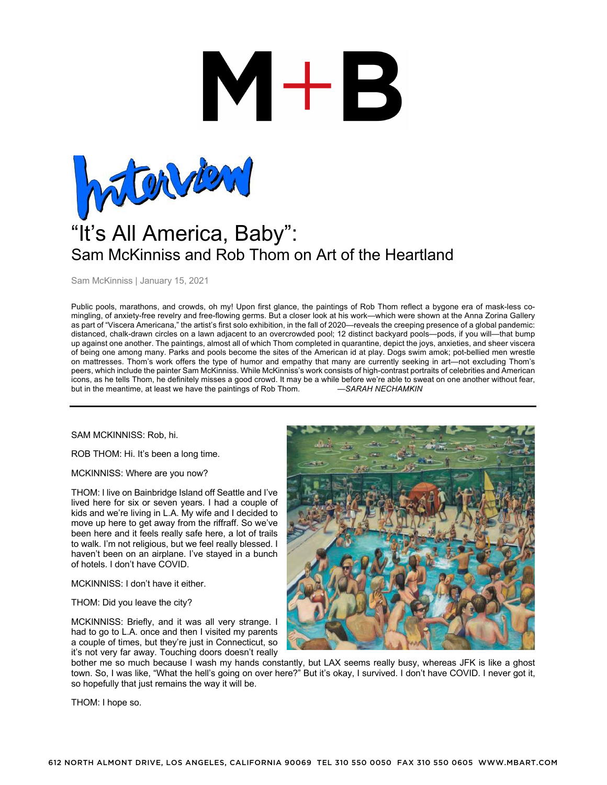

Sam McKinniss | January 15, 2021

Public pools, marathons, and crowds, oh my! Upon first glance, the paintings of Rob Thom reflect a bygone era of mask-less comingling, of anxiety-free revelry and free-flowing germs. But a closer look at his work—which were shown at the Anna Zorina Gallery as part of "Viscera Americana," the artist's first solo exhibition, in the fall of 2020—reveals the creeping presence of a global pandemic: distanced, chalk-drawn circles on a lawn adjacent to an overcrowded pool; 12 distinct backyard pools—pods, if you will—that bump up against one another. The paintings, almost all of which Thom completed in quarantine, depict the joys, anxieties, and sheer viscera of being one among many. Parks and pools become the sites of the American id at play. Dogs swim amok; pot-bellied men wrestle on mattresses. Thom's work offers the type of humor and empathy that many are currently seeking in art—not excluding Thom's peers, which include the painter Sam McKinniss. While McKinniss's work consists of high-contrast portraits of celebrities and American icons, as he tells Thom, he definitely misses a good crowd. It may be a while before we're able to sweat on one another without fear, but in the meantime, at least we have the paintings of Rob Thom. —*SARAH NECHAMKIN*

#### SAM MCKINNISS: Rob, hi.

ROB THOM: Hi. It's been a long time.

MCKINNISS: Where are you now?

THOM: I live on Bainbridge Island off Seattle and I've lived here for six or seven years. I had a couple of kids and we're living in L.A. My wife and I decided to move up here to get away from the riffraff. So we've been here and it feels really safe here, a lot of trails to walk. I'm not religious, but we feel really blessed. I haven't been on an airplane. I've stayed in a bunch of hotels. I don't have COVID.

MCKINNISS: I don't have it either.

THOM: Did you leave the city?

MCKINNISS: Briefly, and it was all very strange. I had to go to L.A. once and then I visited my parents a couple of times, but they're just in Connecticut, so it's not very far away. Touching doors doesn't really



bother me so much because I wash my hands constantly, but LAX seems really busy, whereas JFK is like a ghost town. So, I was like, "What the hell's going on over here?" But it's okay, I survived. I don't have COVID. I never got it, so hopefully that just remains the way it will be.

THOM: I hope so.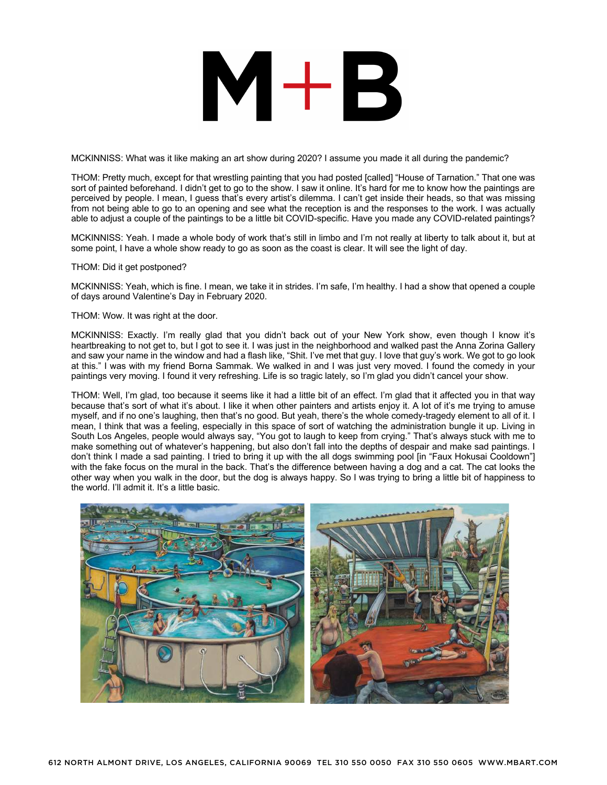MCKINNISS: What was it like making an art show during 2020? I assume you made it all during the pandemic?

THOM: Pretty much, except for that wrestling painting that you had posted [called] "House of Tarnation." That one was sort of painted beforehand. I didn't get to go to the show. I saw it online. It's hard for me to know how the paintings are perceived by people. I mean, I guess that's every artist's dilemma. I can't get inside their heads, so that was missing from not being able to go to an opening and see what the reception is and the responses to the work. I was actually able to adjust a couple of the paintings to be a little bit COVID-specific. Have you made any COVID-related paintings?

MCKINNISS: Yeah. I made a whole body of work that's still in limbo and I'm not really at liberty to talk about it, but at some point, I have a whole show ready to go as soon as the coast is clear. It will see the light of day.

THOM: Did it get postponed?

MCKINNISS: Yeah, which is fine. I mean, we take it in strides. I'm safe, I'm healthy. I had a show that opened a couple of days around Valentine's Day in February 2020.

THOM: Wow. It was right at the door.

MCKINNISS: Exactly. I'm really glad that you didn't back out of your New York show, even though I know it's heartbreaking to not get to, but I got to see it. I was just in the neighborhood and walked past the Anna Zorina Gallery and saw your name in the window and had a flash like, "Shit. I've met that guy. I love that guy's work. We got to go look at this." I was with my friend Borna Sammak. We walked in and I was just very moved. I found the comedy in your paintings very moving. I found it very refreshing. Life is so tragic lately, so I'm glad you didn't cancel your show.

THOM: Well, I'm glad, too because it seems like it had a little bit of an effect. I'm glad that it affected you in that way because that's sort of what it's about. I like it when other painters and artists enjoy it. A lot of it's me trying to amuse myself, and if no one's laughing, then that's no good. But yeah, there's the whole comedy-tragedy element to all of it. I mean, I think that was a feeling, especially in this space of sort of watching the administration bungle it up. Living in South Los Angeles, people would always say, "You got to laugh to keep from crying." That's always stuck with me to make something out of whatever's happening, but also don't fall into the depths of despair and make sad paintings. I don't think I made a sad painting. I tried to bring it up with the all dogs swimming pool [in "Faux Hokusai Cooldown"] with the fake focus on the mural in the back. That's the difference between having a dog and a cat. The cat looks the other way when you walk in the door, but the dog is always happy. So I was trying to bring a little bit of happiness to the world. I'll admit it. It's a little basic.

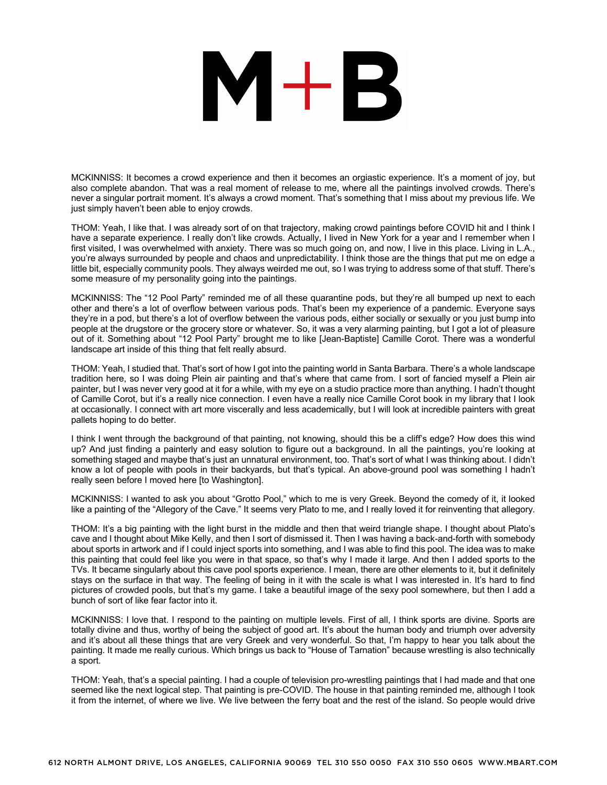MCKINNISS: It becomes a crowd experience and then it becomes an orgiastic experience. It's a moment of joy, but also complete abandon. That was a real moment of release to me, where all the paintings involved crowds. There's never a singular portrait moment. It's always a crowd moment. That's something that I miss about my previous life. We just simply haven't been able to enjoy crowds.

THOM: Yeah, I like that. I was already sort of on that trajectory, making crowd paintings before COVID hit and I think I have a separate experience. I really don't like crowds. Actually, I lived in New York for a year and I remember when I first visited, I was overwhelmed with anxiety. There was so much going on, and now, I live in this place. Living in L.A., you're always surrounded by people and chaos and unpredictability. I think those are the things that put me on edge a little bit, especially community pools. They always weirded me out, so I was trying to address some of that stuff. There's some measure of my personality going into the paintings.

MCKINNISS: The "12 Pool Party" reminded me of all these quarantine pods, but they're all bumped up next to each other and there's a lot of overflow between various pods. That's been my experience of a pandemic. Everyone says they're in a pod, but there's a lot of overflow between the various pods, either socially or sexually or you just bump into people at the drugstore or the grocery store or whatever. So, it was a very alarming painting, but I got a lot of pleasure out of it. Something about "12 Pool Party" brought me to like [Jean-Baptiste] Camille Corot. There was a wonderful landscape art inside of this thing that felt really absurd.

THOM: Yeah, I studied that. That's sort of how I got into the painting world in Santa Barbara. There's a whole landscape tradition here, so I was doing Plein air painting and that's where that came from. I sort of fancied myself a Plein air painter, but I was never very good at it for a while, with my eye on a studio practice more than anything. I hadn't thought of Camille Corot, but it's a really nice connection. I even have a really nice Camille Corot book in my library that I look at occasionally. I connect with art more viscerally and less academically, but I will look at incredible painters with great pallets hoping to do better.

I think I went through the background of that painting, not knowing, should this be a cliff's edge? How does this wind up? And just finding a painterly and easy solution to figure out a background. In all the paintings, you're looking at something staged and maybe that's just an unnatural environment, too. That's sort of what I was thinking about. I didn't know a lot of people with pools in their backyards, but that's typical. An above-ground pool was something I hadn't really seen before I moved here [to Washington].

MCKINNISS: I wanted to ask you about "Grotto Pool," which to me is very Greek. Beyond the comedy of it, it looked like a painting of the "Allegory of the Cave." It seems very Plato to me, and I really loved it for reinventing that allegory.

THOM: It's a big painting with the light burst in the middle and then that weird triangle shape. I thought about Plato's cave and I thought about Mike Kelly, and then I sort of dismissed it. Then I was having a back-and-forth with somebody about sports in artwork and if I could inject sports into something, and I was able to find this pool. The idea was to make this painting that could feel like you were in that space, so that's why I made it large. And then I added sports to the TVs. It became singularly about this cave pool sports experience. I mean, there are other elements to it, but it definitely stays on the surface in that way. The feeling of being in it with the scale is what I was interested in. It's hard to find pictures of crowded pools, but that's my game. I take a beautiful image of the sexy pool somewhere, but then I add a bunch of sort of like fear factor into it.

MCKINNISS: I love that. I respond to the painting on multiple levels. First of all, I think sports are divine. Sports are totally divine and thus, worthy of being the subject of good art. It's about the human body and triumph over adversity and it's about all these things that are very Greek and very wonderful. So that, I'm happy to hear you talk about the painting. It made me really curious. Which brings us back to "House of Tarnation" because wrestling is also technically a sport.

THOM: Yeah, that's a special painting. I had a couple of television pro-wrestling paintings that I had made and that one seemed like the next logical step. That painting is pre-COVID. The house in that painting reminded me, although I took it from the internet, of where we live. We live between the ferry boat and the rest of the island. So people would drive